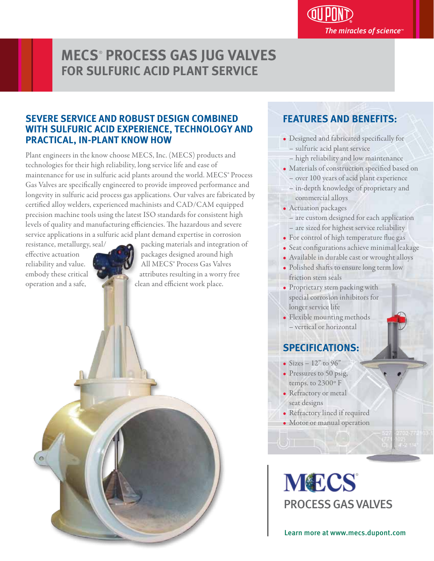## **MECS**®  **PROCESS GAS JUG VALVES FOR SULFURIC ACID PLANT SERVICE**

#### **SEVERE SERVICE AND ROBUST DESIGN COMBINED WITH SULFURIC ACID EXPERIENCE, TECHNOLOGY AND PRACTICAL, IN-PLANT KNOW HOW**

Plant engineers in the know choose MECS, Inc. (MECS) products and technologies for their high reliability, long service life and ease of maintenance for use in sulfuric acid plants around the world. MECS® Process Gas Valves are specifically engineered to provide improved performance and longevity in sulfuric acid process gas applications. Our valves are fabricated by certified alloy welders, experienced machinists and CAD/CAM equipped precision machine tools using the latest ISO standards for consistent high levels of quality and manufacturing efficiencies. The hazardous and severe service applications in a sulfuric acid plant demand expertise in corrosion

resistance, metallurgy, seal/ packing materials and integration of effective actuation  $\mathbb{R}$  **packages designed around high** reliability and value. All MECS® Process Gas Valves embody these critical **attributes resulting in a worry free** operation and a safe, clean and efficient work place.

### **FEATURES AND BENEFITS:**

- Designed and fabricated specifically for – sulfuric acid plant service
	- high reliability and low maintenance
- Materials of construction specified based on
- over 100 years of acid plant experience – in-depth knowledge of proprietary and commercial alloys
- Actuation packages
- are custom designed for each application – are sized for highest service reliability
- For control of high temperature flue gas
- · Seat configurations achieve minimal leakage
- Available in durable cast or wrought alloys
- Polished shafts to ensure long term low friction stem seals
- Proprietary stem packing with special corrosion inhibitors for longer service life
- Flexible mounting methods – vertical or horizontal

# **SPECIFICATIONS:**

- Sizes  $12"$  to  $96"$
- Pressures to 50 psig, temps. to 2300º F
- Refractory or metal seat designs
- Refractory lined if required
- Motor or manual operation

**MECS** PROCESS GAS VALVES

Learn more at www.mecs.dupont.com